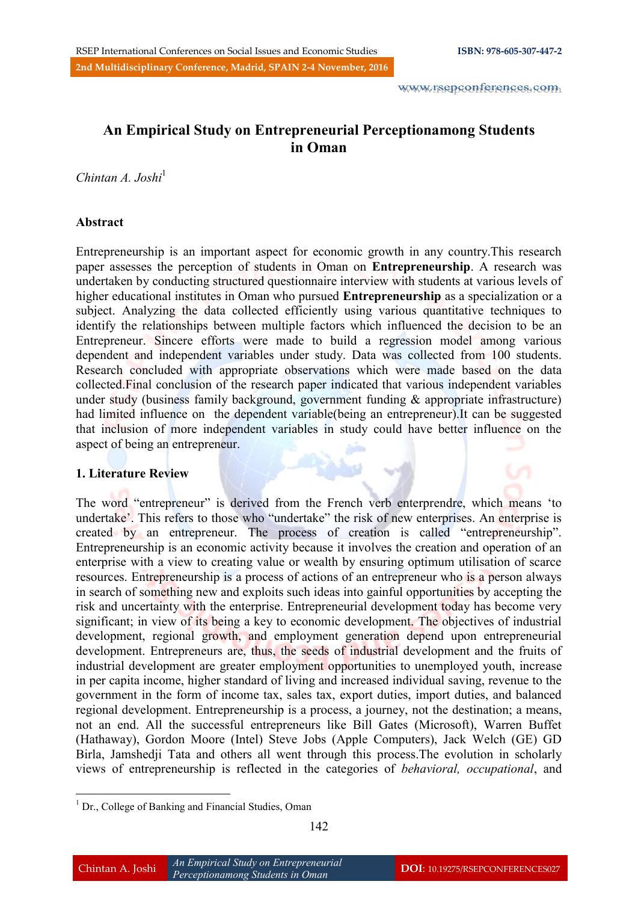# **An Empirical Study on Entrepreneurial Perceptionamong Students in Oman**

*Chintan A. Joshi*<sup>1</sup>

### **Abstract**

Entrepreneurship is an important aspect for economic growth in any country.This research paper assesses the perception of students in Oman on **Entrepreneurship**. A research was undertaken by conducting structured questionnaire interview with students at various levels of higher educational institutes in Oman who pursued **Entrepreneurship** as a specialization or a subject. Analyzing the data collected efficiently using various quantitative techniques to identify the relationships between multiple factors which influenced the decision to be an Entrepreneur. Sincere efforts were made to build a regression model among various dependent and independent variables under study. Data was collected from 100 students. Research concluded with appropriate observations which were made based on the data collected.Final conclusion of the research paper indicated that various independent variables under study (business family background, government funding & appropriate infrastructure) had limited influence on the dependent variable(being an entrepreneur).It can be suggested that inclusion of more independent variables in study could have better influence on the aspect of being an entrepreneur.

# **1. Literature Review**

1

The word "entrepreneur" is derived from the French verb enterprendre, which means 'to undertake'. This refers to those who "undertake" the risk of new enterprises. An enterprise is created by an entrepreneur. The process of creation is called "entrepreneurship". Entrepreneurship is an economic activity because it involves the creation and operation of an enterprise with a view to creating value or wealth by ensuring optimum utilisation of scarce resources. Entrepreneurship is a process of actions of an entrepreneur who is a person always in search of something new and exploits such ideas into gainful opportunities by accepting the risk and uncertainty with the enterprise. Entrepreneurial development today has become very significant; in view of its being a key to economic development. The objectives of industrial development, regional growth, and employment generation depend upon entrepreneurial development. Entrepreneurs are, thus, the seeds of industrial development and the fruits of industrial development are greater employment opportunities to unemployed youth, increase in per capita income, higher standard of living and increased individual saving, revenue to the government in the form of income tax, sales tax, export duties, import duties, and balanced regional development. Entrepreneurship is a process, a journey, not the destination; a means, not an end. All the successful entrepreneurs like Bill Gates (Microsoft), Warren Buffet (Hathaway), Gordon Moore (Intel) Steve Jobs (Apple Computers), Jack Welch (GE) GD Birla, Jamshedji Tata and others all went through this process.The evolution in scholarly views of entrepreneurship is reflected in the categories of *behavioral, occupational*, and

<sup>&</sup>lt;sup>1</sup> Dr., College of Banking and Financial Studies, Oman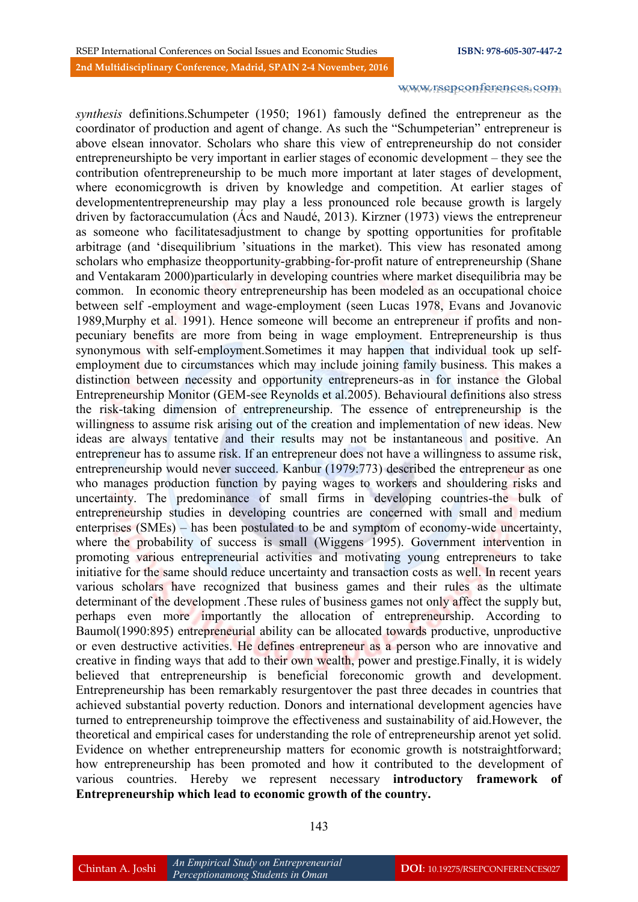*synthesis* definitions.Schumpeter (1950; 1961) famously defined the entrepreneur as the coordinator of production and agent of change. As such the "Schumpeterian" entrepreneur is above elsean innovator. Scholars who share this view of entrepreneurship do not consider entrepreneurshipto be very important in earlier stages of economic development – they see the contribution ofentrepreneurship to be much more important at later stages of development, where economicgrowth is driven by knowledge and competition. At earlier stages of developmententrepreneurship may play a less pronounced role because growth is largely driven by factoraccumulation (Ács and Naudé, 2013). Kirzner (1973) views the entrepreneur as someone who facilitatesadjustment to change by spotting opportunities for profitable arbitrage (and "disequilibrium "situations in the market). This view has resonated among scholars who emphasize theopportunity-grabbing-for-profit nature of entrepreneurship (Shane and Ventakaram 2000)particularly in developing countries where market disequilibria may be common. In economic theory entrepreneurship has been modeled as an occupational choice between self -employment and wage-employment (seen Lucas 1978, Evans and Jovanovic 1989,Murphy et al. 1991). Hence someone will become an entrepreneur if profits and nonpecuniary benefits are more from being in wage employment. Entrepreneurship is thus synonymous with self-employment.Sometimes it may happen that individual took up selfemployment due to circumstances which may include joining family business. This makes a distinction between necessity and opportunity entrepreneurs-as in for instance the Global Entrepreneurship Monitor (GEM-see Reynolds et al.2005). Behavioural definitions also stress the risk-taking dimension of entrepreneurship. The essence of entrepreneurship is the willingness to assume risk arising out of the creation and implementation of new ideas. New ideas are always tentative and their results may not be instantaneous and positive. An entrepreneur has to assume risk. If an entrepreneur does not have a willingness to assume risk, entrepreneurship would never succeed. Kanbur (1979:773) described the entrepreneur as one who manages production function by paying wages to workers and shouldering risks and uncertainty. The predominance of small firms in developing countries-the bulk of entrepreneurship studies in developing countries are concerned with small and medium enterprises (SMEs) – has been postulated to be and symptom of economy-wide uncertainty, where the probability of success is small (Wiggens 1995). Government intervention in promoting various entrepreneurial activities and motivating young entrepreneurs to take initiative for the same should reduce uncertainty and transaction costs as well. In recent years various scholars have recognized that business games and their rules as the ultimate determinant of the development. These rules of business games not only affect the supply but, perhaps even more importantly the allocation of entrepreneurship. According to Baumol(1990:895) entrepreneurial ability can be allocated towards productive, unproductive or even destructive activities. He defines entrepreneur as a person who are innovative and creative in finding ways that add to their own wealth, power and prestige.Finally, it is widely believed that entrepreneurship is beneficial foreconomic growth and development. Entrepreneurship has been remarkably resurgentover the past three decades in countries that achieved substantial poverty reduction. Donors and international development agencies have turned to entrepreneurship toimprove the effectiveness and sustainability of aid.However, the theoretical and empirical cases for understanding the role of entrepreneurship arenot yet solid. Evidence on whether entrepreneurship matters for economic growth is notstraightforward; how entrepreneurship has been promoted and how it contributed to the development of various countries. Hereby we represent necessary **introductory framework of Entrepreneurship which lead to economic growth of the country.**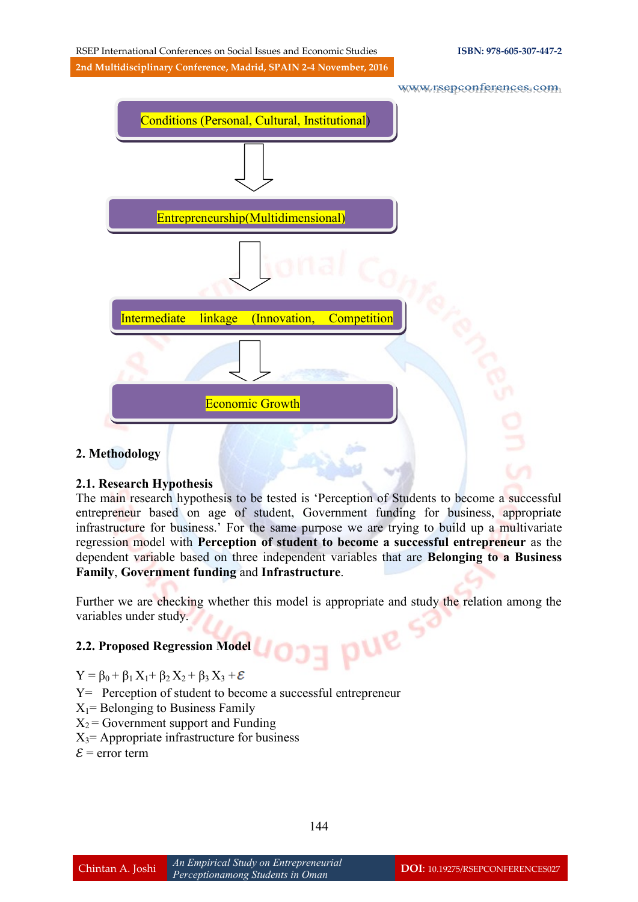RSEP International Conferences on Social Issues and Economic Studies **ISBN: 978-605-307-447-2 2nd Multidisciplinary Conference, Madrid, SPAIN 2-4 November, 2016**

www.rsepconferences.com



# **2. Methodology**

#### **2.1. Research Hypothesis**

The main research hypothesis to be tested is "Perception of Students to become a successful entrepreneur based on age of student, Government funding for business, appropriate infrastructure for business." For the same purpose we are trying to build up a multivariate regression model with **Perception of student to become a successful entrepreneur** as the dependent variable based on three independent variables that are **Belonging to a Business Family**, **Government funding** and **Infrastructure**.

Further we are checking whether this model is appropriate and study the relation among the variables under study. pue se

## **2.2. Proposed Regression Model**

#### $Y = \beta_0 + \beta_1 X_1 + \beta_2 X_2 + \beta_3 X_3 + \mathcal{E}$

Y= Perception of student to become a successful entrepreneur

- $X_1$ = Belonging to Business Family
- $X_2$  = Government support and Funding
- $X_3$ = Appropriate infrastructure for business
- $\mathcal{E}$  = error term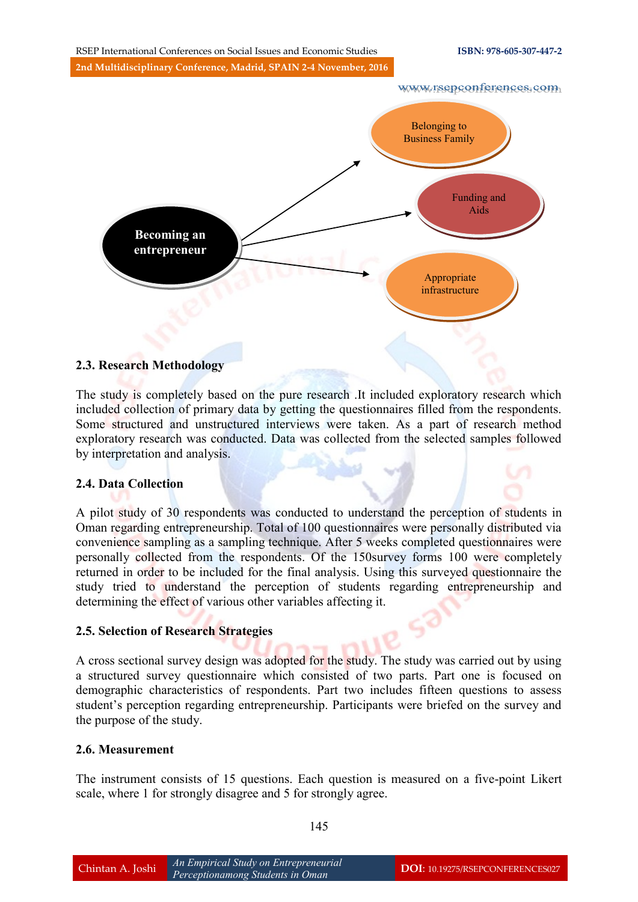

#### **2.3. Research Methodology**

The study is completely based on the pure research .It included exploratory research which included collection of primary data by getting the questionnaires filled from the respondents. Some structured and unstructured interviews were taken. As a part of research method exploratory research was conducted. Data was collected from the selected samples followed by interpretation and analysis.

#### **2.4. Data Collection**

A pilot study of 30 respondents was conducted to understand the perception of students in Oman regarding entrepreneurship. Total of 100 questionnaires were personally distributed via convenience sampling as a sampling technique. After 5 weeks completed questionnaires were personally collected from the respondents. Of the 150survey forms 100 were completely returned in order to be included for the final analysis. Using this surveyed questionnaire the study tried to understand the perception of students regarding entrepreneurship and determining the effect of various other variables affecting it.

#### **2.5. Selection of Research Strategies**

A cross sectional survey design was adopted for the study. The study was carried out by using a structured survey questionnaire which consisted of two parts. Part one is focused on demographic characteristics of respondents. Part two includes fifteen questions to assess student"s perception regarding entrepreneurship. Participants were briefed on the survey and the purpose of the study.

#### **2.6. Measurement**

The instrument consists of 15 questions. Each question is measured on a five-point Likert scale, where 1 for strongly disagree and 5 for strongly agree.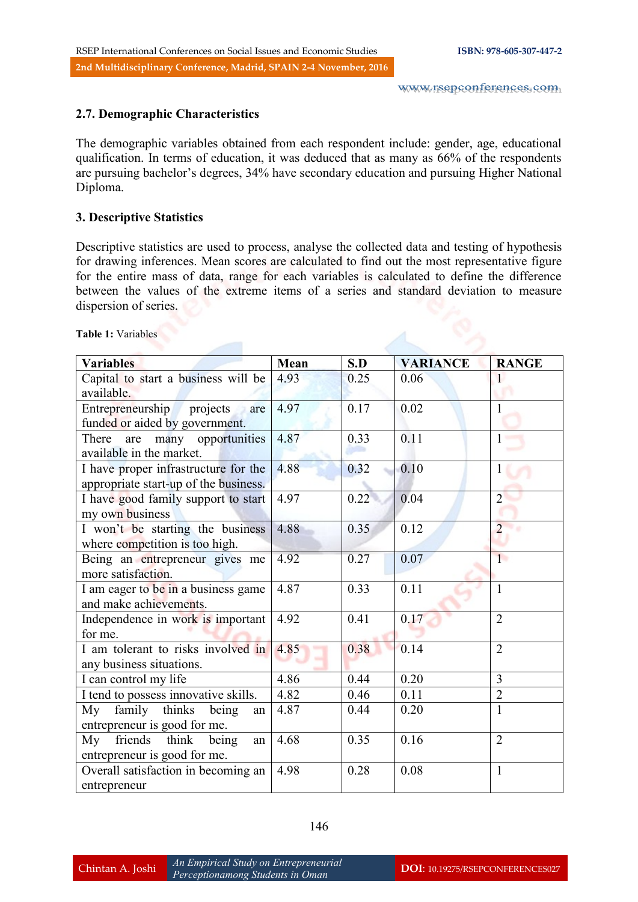# **2.7. Demographic Characteristics**

The demographic variables obtained from each respondent include: gender, age, educational qualification. In terms of education, it was deduced that as many as 66% of the respondents are pursuing bachelor"s degrees, 34% have secondary education and pursuing Higher National Diploma.

# **3. Descriptive Statistics**

Descriptive statistics are used to process, analyse the collected data and testing of hypothesis for drawing inferences. Mean scores are calculated to find out the most representative figure for the entire mass of data, range for each variables is calculated to define the difference between the values of the extreme items of a series and standard deviation to measure dispersion of series.

**Table 1:** Variables

| <b>Variables</b>                                                              | Mean | S.D  | <b>VARIANCE</b> | <b>RANGE</b>   |
|-------------------------------------------------------------------------------|------|------|-----------------|----------------|
| Capital to start a business will be<br>available.                             | 4.93 | 0.25 | 0.06            |                |
| Entrepreneurship<br>projects<br>are<br>funded or aided by government.         | 4.97 | 0.17 | 0.02            | $\mathbf{1}$   |
| many opportunities<br>There<br>are<br>available in the market.                | 4.87 | 0.33 | 0.11            |                |
| I have proper infrastructure for the<br>appropriate start-up of the business. | 4.88 | 0.32 | 0.10            |                |
| I have good family support to start<br>my own business                        | 4.97 | 0.22 | 0.04            | $\overline{2}$ |
| I won't be starting the business<br>where competition is too high.            | 4.88 | 0.35 | 0.12            | $\overline{2}$ |
| Being an entrepreneur gives me<br>more satisfaction.                          | 4.92 | 0.27 | 0.07            | $\overline{1}$ |
| I am eager to be in a business game<br>and make achievements.                 | 4.87 | 0.33 | 0.11            | 1              |
| Independence in work is important<br>for me.                                  | 4.92 | 0.41 | 0.17            | $\overline{2}$ |
| I am tolerant to risks involved in<br>any business situations.                | 4.85 | 0.38 | 0.14            | $\overline{2}$ |
| I can control my life                                                         | 4.86 | 0.44 | 0.20            | 3              |
| I tend to possess innovative skills.                                          | 4.82 | 0.46 | 0.11            | $\overline{2}$ |
| family thinks<br>Mv<br>being<br>an<br>entrepreneur is good for me.            | 4.87 | 0.44 | 0.20            | $\mathbf{1}$   |
| friends think<br>My<br>being<br>an<br>entrepreneur is good for me.            | 4.68 | 0.35 | 0.16            | $\overline{2}$ |
| Overall satisfaction in becoming an<br>entrepreneur                           | 4.98 | 0.28 | 0.08            | $\mathbf{1}$   |

146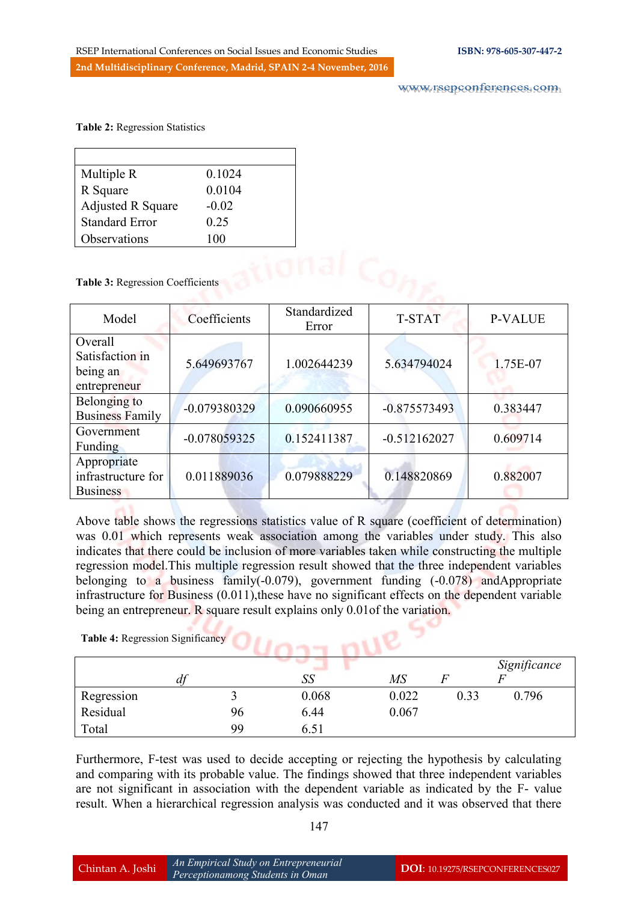**Table 2:** Regression Statistics

| Multiple R               | 0.1024  |
|--------------------------|---------|
| R Square                 | 0.0104  |
| <b>Adjusted R Square</b> | $-0.02$ |
| <b>Standard Error</b>    | 0.25    |
| Observations             | 100     |

| <b>ODSETVATIONS</b>                                    | 1 UU           |                       |                |                |
|--------------------------------------------------------|----------------|-----------------------|----------------|----------------|
| Table 3: Regression Coefficients                       |                |                       |                |                |
| Model                                                  | Coefficients   | Standardized<br>Error | <b>T-STAT</b>  | <b>P-VALUE</b> |
| Overall<br>Satisfaction in<br>being an<br>entrepreneur | 5.649693767    | 1.002644239           | 5.634794024    | 1.75E-07       |
| Belonging to<br><b>Business Family</b>                 | $-0.079380329$ | 0.090660955           | $-0.875573493$ | 0.383447       |
| Government<br>Funding                                  | $-0.078059325$ | 0.152411387           | $-0.512162027$ | 0.609714       |
| Appropriate<br>infrastructure for<br><b>Business</b>   | 0.011889036    | 0.079888229           | 0.148820869    | 0.882007       |

Above table shows the regressions statistics value of R square (coefficient of determination) was 0.01 which represents weak association among the variables under study. This also indicates that there could be inclusion of more variables taken while constructing the multiple regression model.This multiple regression result showed that the three independent variables belonging to a business family(-0.079), government funding (-0.078) andAppropriate infrastructure for Business (0.011),these have no significant effects on the dependent variable being an entrepreneur. R square result explains only 0.01 of the variation.

| Table 4: Regression Significancy |    |       |       |      |              |
|----------------------------------|----|-------|-------|------|--------------|
|                                  |    |       |       |      | Significance |
| df                               |    | SS    | MS    |      |              |
| Regression                       |    | 0.068 | 0.022 | 0.33 | 0.796        |
| Residual                         | 96 | 6.44  | 0.067 |      |              |
| Total                            | 99 | 6.51  |       |      |              |

Furthermore, F-test was used to decide accepting or rejecting the hypothesis by calculating and comparing with its probable value. The findings showed that three independent variables are not significant in association with the dependent variable as indicated by the F- value result. When a hierarchical regression analysis was conducted and it was observed that there

|--|--|

,,,,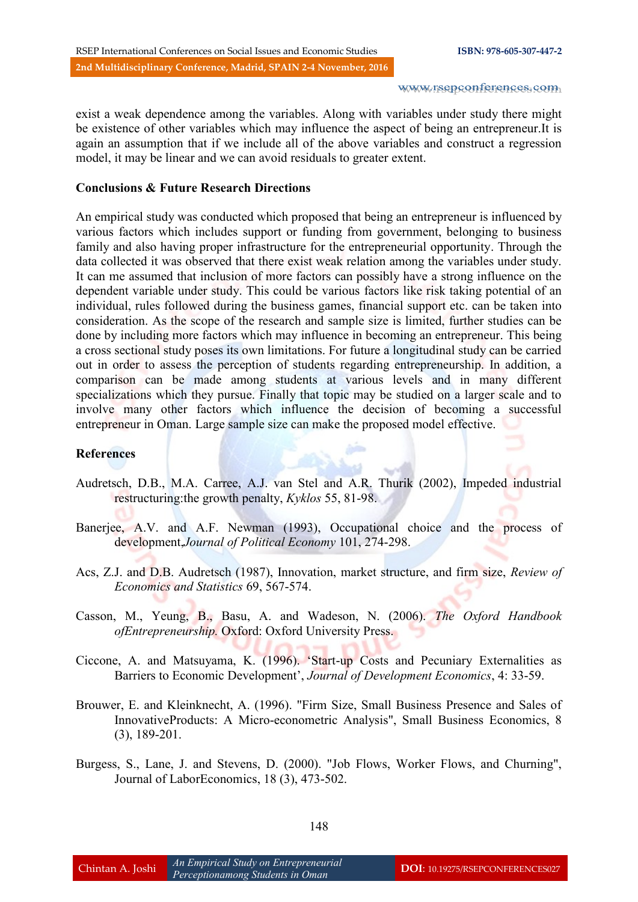exist a weak dependence among the variables. Along with variables under study there might be existence of other variables which may influence the aspect of being an entrepreneur.It is again an assumption that if we include all of the above variables and construct a regression model, it may be linear and we can avoid residuals to greater extent.

#### **Conclusions & Future Research Directions**

An empirical study was conducted which proposed that being an entrepreneur is influenced by various factors which includes support or funding from government, belonging to business family and also having proper infrastructure for the entrepreneurial opportunity. Through the data collected it was observed that there exist weak relation among the variables under study. It can me assumed that inclusion of more factors can possibly have a strong influence on the dependent variable under study. This could be various factors like risk taking potential of an individual, rules followed during the business games, financial support etc. can be taken into consideration. As the scope of the research and sample size is limited, further studies can be done by including more factors which may influence in becoming an entrepreneur. This being a cross sectional study poses its own limitations. For future a longitudinal study can be carried out in order to assess the perception of students regarding entrepreneurship. In addition, a comparison can be made among students at various levels and in many different specializations which they pursue. Finally that topic may be studied on a larger scale and to involve many other factors which influence the decision of becoming a successful entrepreneur in Oman. Large sample size can make the proposed model effective.

### **References**

- Audretsch, D.B., M.A. Carree, A.J. van Stel and A.R. Thurik (2002), Impeded industrial restructuring:the growth penalty, *Kyklos* 55, 81-98.
- Banerjee, A.V. and A.F. Newman (1993), Occupational choice and the process of development,*Journal of Political Economy* 101, 274-298.
- Acs, Z.J. and D.B. Audretsch (1987), Innovation, market structure, and firm size, *Review of Economics and Statistics* 69, 567-574.
- Casson, M., Yeung, B., Basu, A. and Wadeson, N. (2006). *The Oxford Handbook ofEntrepreneurship.* Oxford: Oxford University Press.
- Ciccone, A. and Matsuyama, K. (1996). "Start-up Costs and Pecuniary Externalities as Barriers to Economic Development", *Journal of Development Economics*, 4: 33-59.
- Brouwer, E. and Kleinknecht, A. (1996). "Firm Size, Small Business Presence and Sales of InnovativeProducts: A Micro-econometric Analysis", Small Business Economics, 8 (3), 189-201.
- Burgess, S., Lane, J. and Stevens, D. (2000). "Job Flows, Worker Flows, and Churning", Journal of LaborEconomics, 18 (3), 473-502.